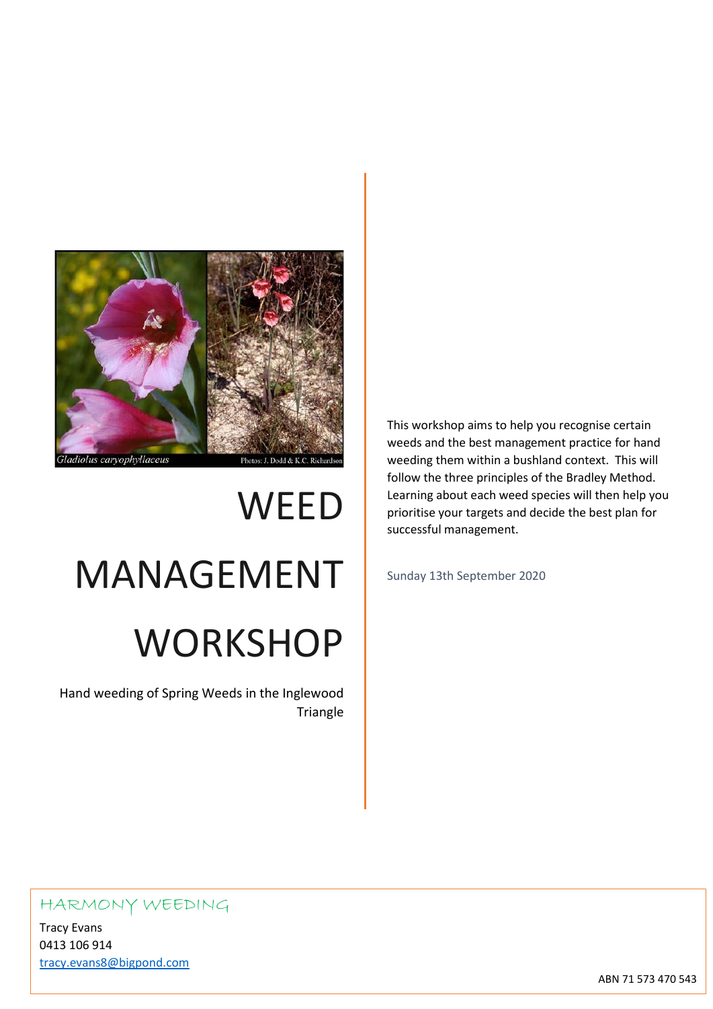

# **WEED** MANAGEMENT **WORKSHOP**

Hand weeding of Spring Weeds in the Inglewood Triangle This workshop aims to help you recognise certain weeds and the best management practice for hand weeding them within a bushland context. This will follow the three principles of the Bradley Method. Learning about each weed species will then help you prioritise your targets and decide the best plan for successful management.

Sunday 13th September 2020

## HARMONY WEEDING

Tracy Evans 0413 106 914 [tracy.evans8@bigpond.com](mailto:tracy.evans8@bigpond.com)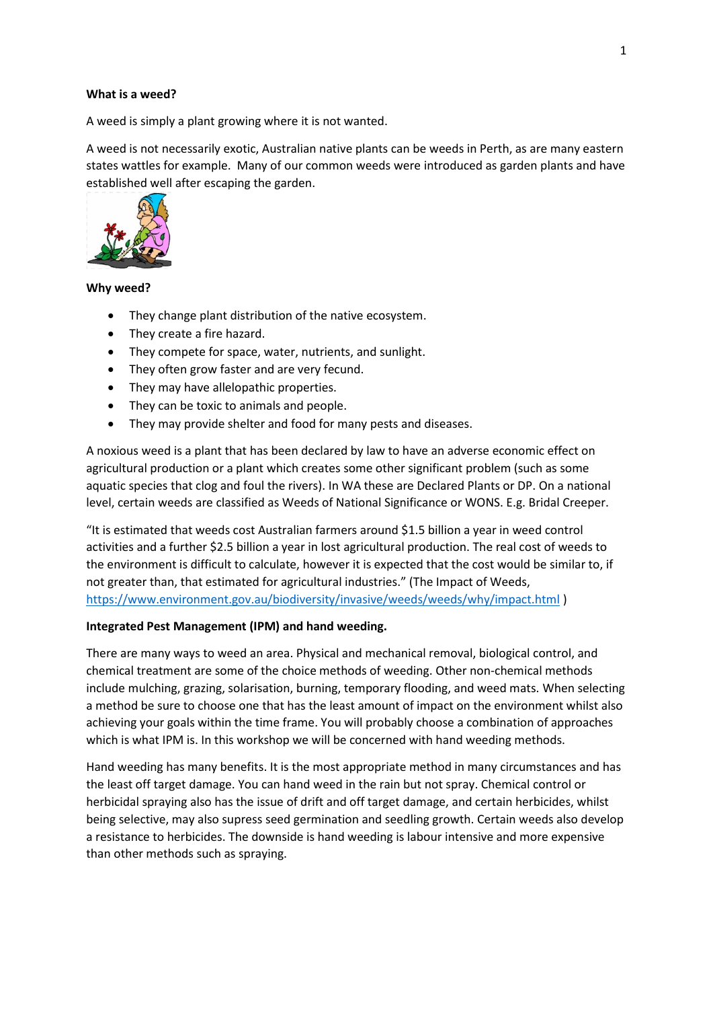#### **What is a weed?**

A weed is simply a plant growing where it is not wanted.

A weed is not necessarily exotic, Australian native plants can be weeds in Perth, as are many eastern states wattles for example. Many of our common weeds were introduced as garden plants and have established well after escaping the garden.



#### **Why weed?**

- They change plant distribution of the native ecosystem.
- They create a fire hazard.
- They compete for space, water, nutrients, and sunlight.
- They often grow faster and are very fecund.
- They may have allelopathic properties.
- They can be toxic to animals and people.
- They may provide shelter and food for many pests and diseases.

A noxious weed is a plant that has been declared by law to have an adverse economic effect on agricultural production or a plant which creates some other significant problem (such as some aquatic species that clog and foul the rivers). In WA these are Declared Plants or DP. On a national level, certain weeds are classified as Weeds of National Significance or WONS. E.g. Bridal Creeper.

"It is estimated that weeds cost Australian farmers around \$1.5 billion a year in weed control activities and a further \$2.5 billion a year in lost agricultural production. The real cost of weeds to the environment is difficult to calculate, however it is expected that the cost would be similar to, if not greater than, that estimated for agricultural industries." (The Impact of Weeds, <https://www.environment.gov.au/biodiversity/invasive/weeds/weeds/why/impact.html> )

#### **Integrated Pest Management (IPM) and hand weeding.**

There are many ways to weed an area. Physical and mechanical removal, biological control, and chemical treatment are some of the choice methods of weeding. Other non-chemical methods include mulching, grazing, solarisation, burning, temporary flooding, and weed mats. When selecting a method be sure to choose one that has the least amount of impact on the environment whilst also achieving your goals within the time frame. You will probably choose a combination of approaches which is what IPM is. In this workshop we will be concerned with hand weeding methods.

Hand weeding has many benefits. It is the most appropriate method in many circumstances and has the least off target damage. You can hand weed in the rain but not spray. Chemical control or herbicidal spraying also has the issue of drift and off target damage, and certain herbicides, whilst being selective, may also supress seed germination and seedling growth. Certain weeds also develop a resistance to herbicides. The downside is hand weeding is labour intensive and more expensive than other methods such as spraying.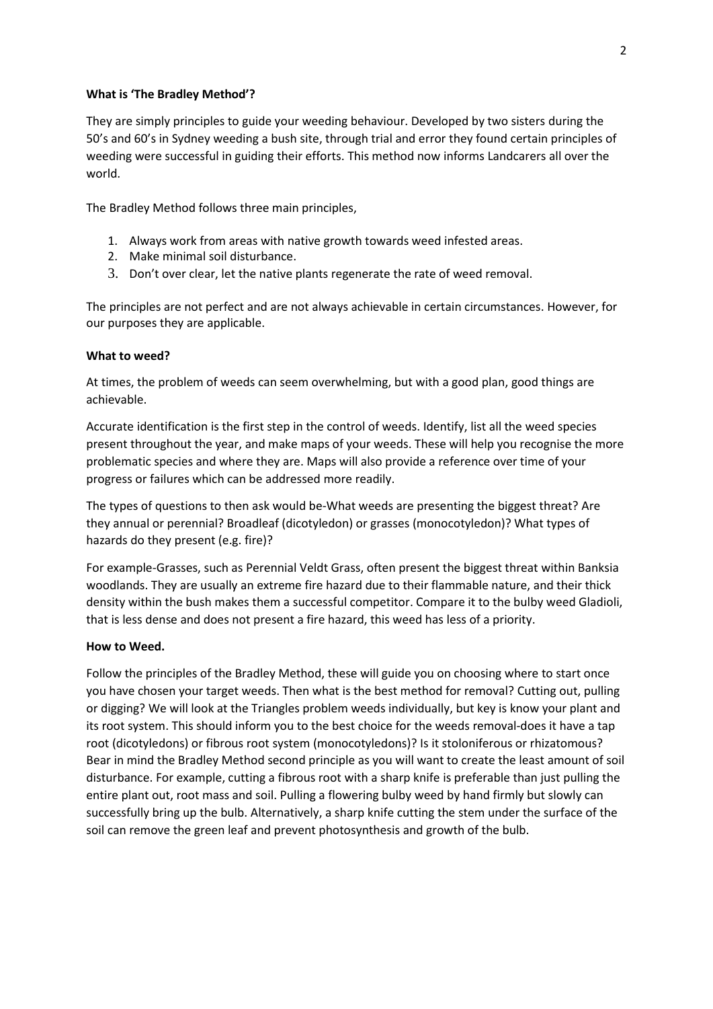#### **What is 'The Bradley Method'?**

They are simply principles to guide your weeding behaviour. Developed by two sisters during the 50's and 60's in Sydney weeding a bush site, through trial and error they found certain principles of weeding were successful in guiding their efforts. This method now informs Landcarers all over the world.

The Bradley Method follows three main principles,

- 1. Always work from areas with native growth towards weed infested areas.
- 2. Make minimal soil disturbance.
- 3. Don't over clear, let the native plants regenerate the rate of weed removal.

The principles are not perfect and are not always achievable in certain circumstances. However, for our purposes they are applicable.

#### **What to weed?**

At times, the problem of weeds can seem overwhelming, but with a good plan, good things are achievable.

Accurate identification is the first step in the control of weeds. Identify, list all the weed species present throughout the year, and make maps of your weeds. These will help you recognise the more problematic species and where they are. Maps will also provide a reference over time of your progress or failures which can be addressed more readily.

The types of questions to then ask would be-What weeds are presenting the biggest threat? Are they annual or perennial? Broadleaf (dicotyledon) or grasses (monocotyledon)? What types of hazards do they present (e.g. fire)?

For example-Grasses, such as Perennial Veldt Grass, often present the biggest threat within Banksia woodlands. They are usually an extreme fire hazard due to their flammable nature, and their thick density within the bush makes them a successful competitor. Compare it to the bulby weed Gladioli, that is less dense and does not present a fire hazard, this weed has less of a priority.

#### **How to Weed.**

Follow the principles of the Bradley Method, these will guide you on choosing where to start once you have chosen your target weeds. Then what is the best method for removal? Cutting out, pulling or digging? We will look at the Triangles problem weeds individually, but key is know your plant and its root system. This should inform you to the best choice for the weeds removal-does it have a tap root (dicotyledons) or fibrous root system (monocotyledons)? Is it stoloniferous or rhizatomous? Bear in mind the Bradley Method second principle as you will want to create the least amount of soil disturbance. For example, cutting a fibrous root with a sharp knife is preferable than just pulling the entire plant out, root mass and soil. Pulling a flowering bulby weed by hand firmly but slowly can successfully bring up the bulb. Alternatively, a sharp knife cutting the stem under the surface of the soil can remove the green leaf and prevent photosynthesis and growth of the bulb.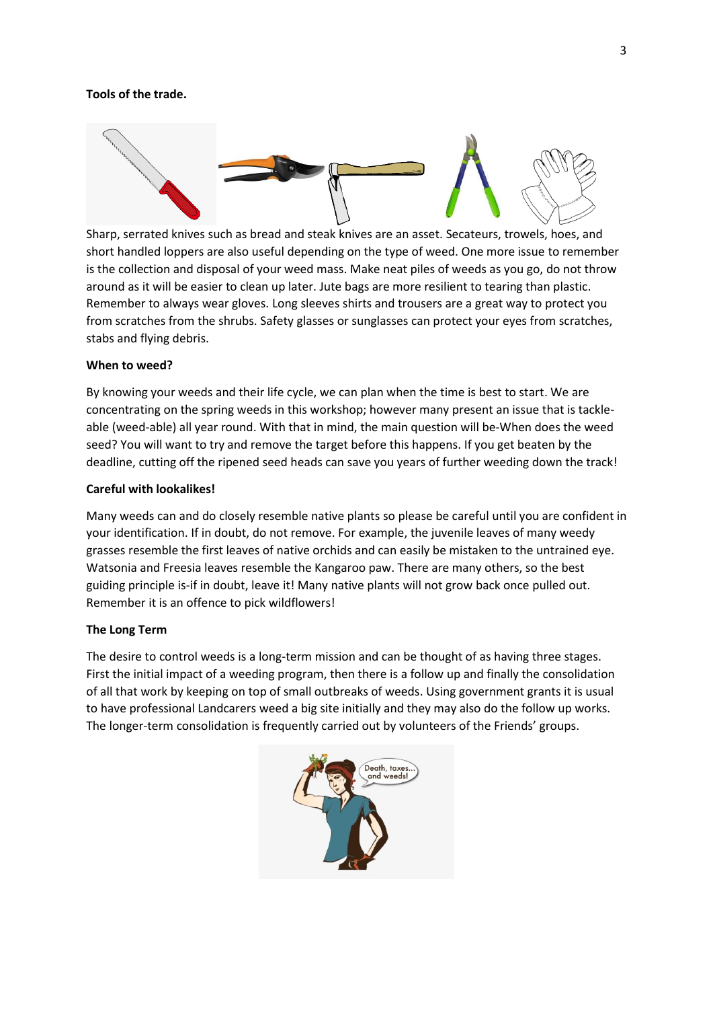#### **Tools of the trade.**



Sharp, serrated knives such as bread and steak knives are an asset. Secateurs, trowels, hoes, and short handled loppers are also useful depending on the type of weed. One more issue to remember is the collection and disposal of your weed mass. Make neat piles of weeds as you go, do not throw around as it will be easier to clean up later. Jute bags are more resilient to tearing than plastic. Remember to always wear gloves. Long sleeves shirts and trousers are a great way to protect you from scratches from the shrubs. Safety glasses or sunglasses can protect your eyes from scratches, stabs and flying debris.

#### **When to weed?**

By knowing your weeds and their life cycle, we can plan when the time is best to start. We are concentrating on the spring weeds in this workshop; however many present an issue that is tackleable (weed-able) all year round. With that in mind, the main question will be-When does the weed seed? You will want to try and remove the target before this happens. If you get beaten by the deadline, cutting off the ripened seed heads can save you years of further weeding down the track!

#### **Careful with lookalikes!**

Many weeds can and do closely resemble native plants so please be careful until you are confident in your identification. If in doubt, do not remove. For example, the juvenile leaves of many weedy grasses resemble the first leaves of native orchids and can easily be mistaken to the untrained eye. Watsonia and Freesia leaves resemble the Kangaroo paw. There are many others, so the best guiding principle is-if in doubt, leave it! Many native plants will not grow back once pulled out. Remember it is an offence to pick wildflowers!

#### **The Long Term**

The desire to control weeds is a long-term mission and can be thought of as having three stages. First the initial impact of a weeding program, then there is a follow up and finally the consolidation of all that work by keeping on top of small outbreaks of weeds. Using government grants it is usual to have professional Landcarers weed a big site initially and they may also do the follow up works. The longer-term consolidation is frequently carried out by volunteers of the Friends' groups.

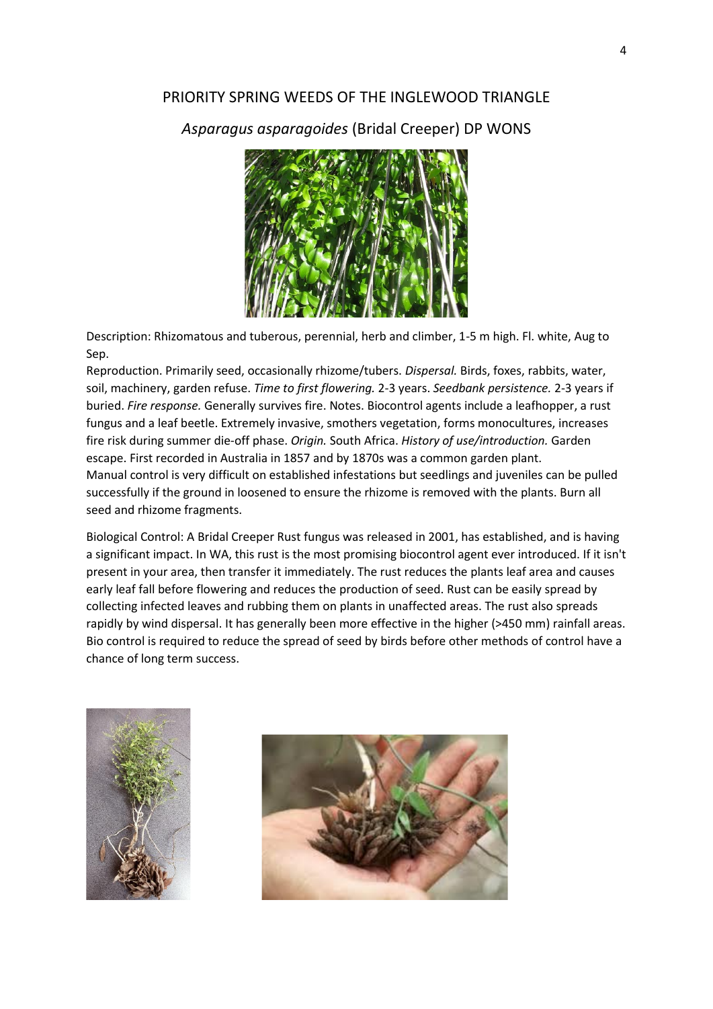## PRIORITY SPRING WEEDS OF THE INGLEWOOD TRIANGLE

## *Asparagus asparagoides* (Bridal Creeper) DP WONS



Description: Rhizomatous and tuberous, perennial, herb and climber, 1-5 m high. Fl. white, Aug to Sep.

Reproduction. Primarily seed, occasionally rhizome/tubers. *Dispersal.* Birds, foxes, rabbits, water, soil, machinery, garden refuse. *Time to first flowering.* 2-3 years. *Seedbank persistence.* 2-3 years if buried. *Fire response.* Generally survives fire. Notes. Biocontrol agents include a leafhopper, a rust fungus and a leaf beetle. Extremely invasive, smothers vegetation, forms monocultures, increases fire risk during summer die-off phase. *Origin.* South Africa. *History of use/introduction.* Garden escape. First recorded in Australia in 1857 and by 1870s was a common garden plant. Manual control is very difficult on established infestations but seedlings and juveniles can be pulled successfully if the ground in loosened to ensure the rhizome is removed with the plants. Burn all seed and rhizome fragments.

Biological Control: A Bridal Creeper Rust fungus was released in 2001, has established, and is having a significant impact. In WA, this rust is the most promising biocontrol agent ever introduced. If it isn't present in your area, then transfer it immediately. The rust reduces the plants leaf area and causes early leaf fall before flowering and reduces the production of seed. Rust can be easily spread by collecting infected leaves and rubbing them on plants in unaffected areas. The rust also spreads rapidly by wind dispersal. It has generally been more effective in the higher (>450 mm) rainfall areas. Bio control is required to reduce the spread of seed by birds before other methods of control have a chance of long term success.



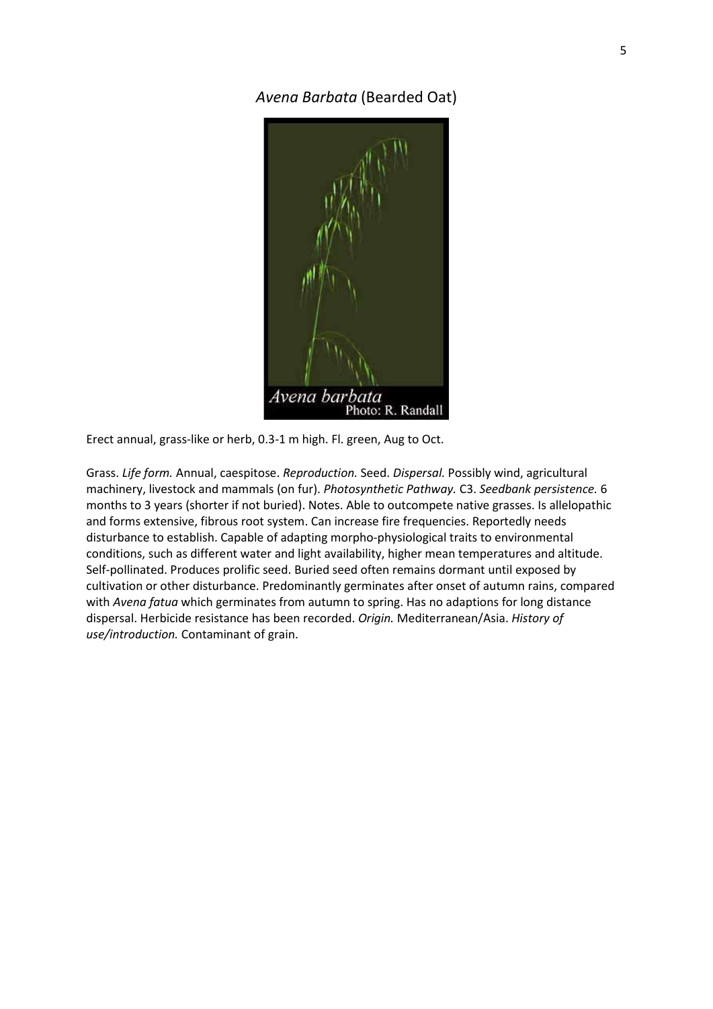*Avena Barbata* (Bearded Oat)



Erect annual, grass-like or herb, 0.3-1 m high. Fl. green, Aug to Oct.

Grass. *Life form.* Annual, caespitose. *Reproduction.* Seed. *Dispersal.* Possibly wind, agricultural machinery, livestock and mammals (on fur). *Photosynthetic Pathway.* C3. *Seedbank persistence.* 6 months to 3 years (shorter if not buried). Notes. Able to outcompete native grasses. Is allelopathic and forms extensive, fibrous root system. Can increase fire frequencies. Reportedly needs disturbance to establish. Capable of adapting morpho-physiological traits to environmental conditions, such as different water and light availability, higher mean temperatures and altitude. Self-pollinated. Produces prolific seed. Buried seed often remains dormant until exposed by cultivation or other disturbance. Predominantly germinates after onset of autumn rains, compared with *Avena fatua* which germinates from autumn to spring. Has no adaptions for long distance dispersal. Herbicide resistance has been recorded. *Origin.* Mediterranean/Asia. *History of use/introduction.* Contaminant of grain.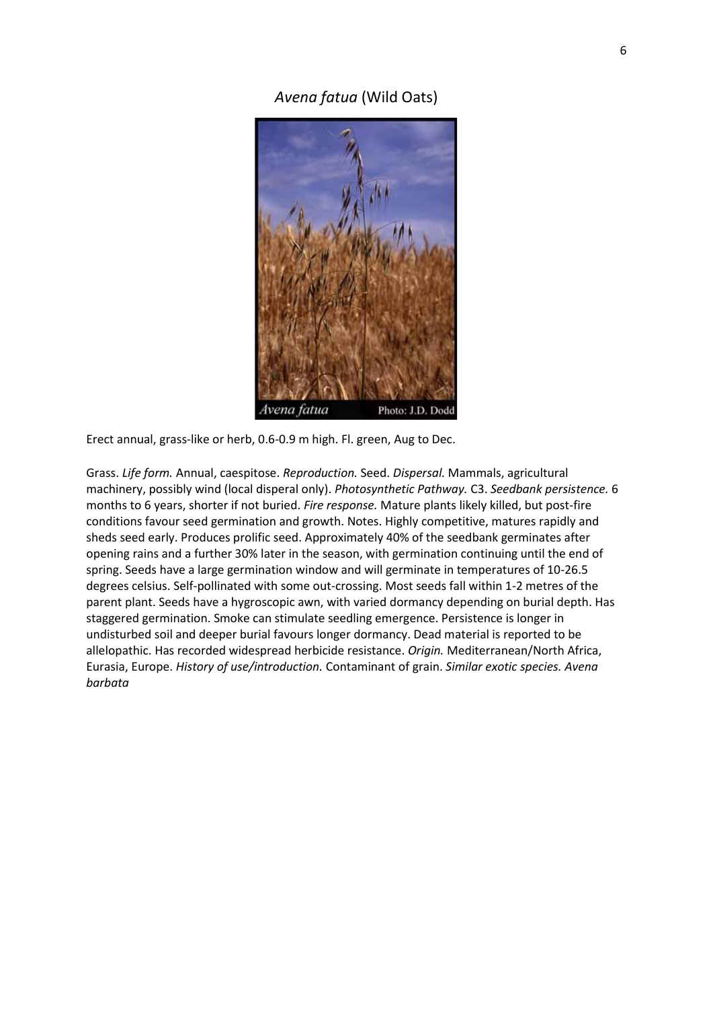*Avena fatua* (Wild Oats)



Erect annual, grass-like or herb, 0.6-0.9 m high. Fl. green, Aug to Dec.

Grass. *Life form.* Annual, caespitose. *Reproduction.* Seed. *Dispersal.* Mammals, agricultural machinery, possibly wind (local disperal only). *Photosynthetic Pathway.* C3. *Seedbank persistence.* 6 months to 6 years, shorter if not buried. *Fire response.* Mature plants likely killed, but post-fire conditions favour seed germination and growth. Notes. Highly competitive, matures rapidly and sheds seed early. Produces prolific seed. Approximately 40% of the seedbank germinates after opening rains and a further 30% later in the season, with germination continuing until the end of spring. Seeds have a large germination window and will germinate in temperatures of 10-26.5 degrees celsius. Self-pollinated with some out-crossing. Most seeds fall within 1-2 metres of the parent plant. Seeds have a hygroscopic awn, with varied dormancy depending on burial depth. Has staggered germination. Smoke can stimulate seedling emergence. Persistence is longer in undisturbed soil and deeper burial favours longer dormancy. Dead material is reported to be allelopathic. Has recorded widespread herbicide resistance. *Origin.* Mediterranean/North Africa, Eurasia, Europe. *History of use/introduction.* Contaminant of grain. *Similar exotic species. Avena barbata*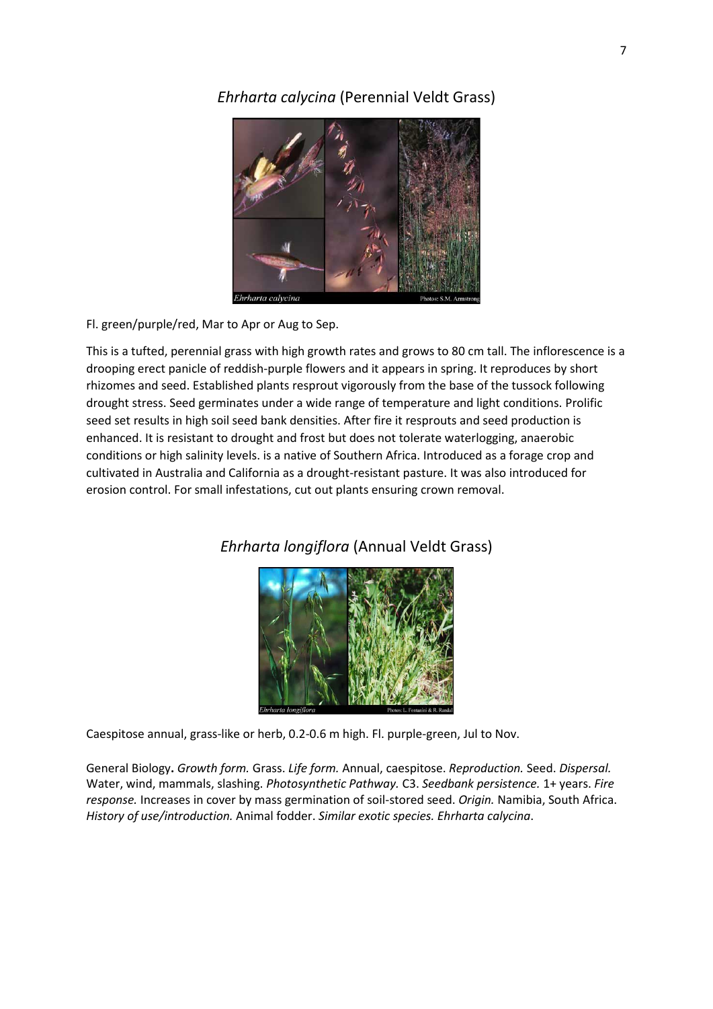## *Ehrharta calycina* (Perennial Veldt Grass)



Fl. green/purple/red, Mar to Apr or Aug to Sep.

This is a tufted, perennial grass with high growth rates and grows to 80 cm tall. The inflorescence is a drooping erect panicle of reddish-purple flowers and it appears in spring. It reproduces by short rhizomes and seed. Established plants resprout vigorously from the base of the tussock following drought stress. Seed germinates under a wide range of temperature and light conditions. Prolific seed set results in high soil seed bank densities. After fire it resprouts and seed production is enhanced. It is resistant to drought and frost but does not tolerate waterlogging, anaerobic conditions or high salinity levels. is a native of Southern Africa. Introduced as a forage crop and cultivated in Australia and California as a drought-resistant pasture. It was also introduced for erosion control. For small infestations, cut out plants ensuring crown removal.



## *Ehrharta longiflora* (Annual Veldt Grass)

Caespitose annual, grass-like or herb, 0.2-0.6 m high. Fl. purple-green, Jul to Nov.

General Biology**.** *Growth form.* Grass. *Life form.* Annual, caespitose. *Reproduction.* Seed. *Dispersal.*  Water, wind, mammals, slashing. *Photosynthetic Pathway.* C3. *Seedbank persistence.* 1+ years. *Fire response.* Increases in cover by mass germination of soil-stored seed. *Origin.* Namibia, South Africa. *History of use/introduction.* Animal fodder. *Similar exotic species. Ehrharta calycina*.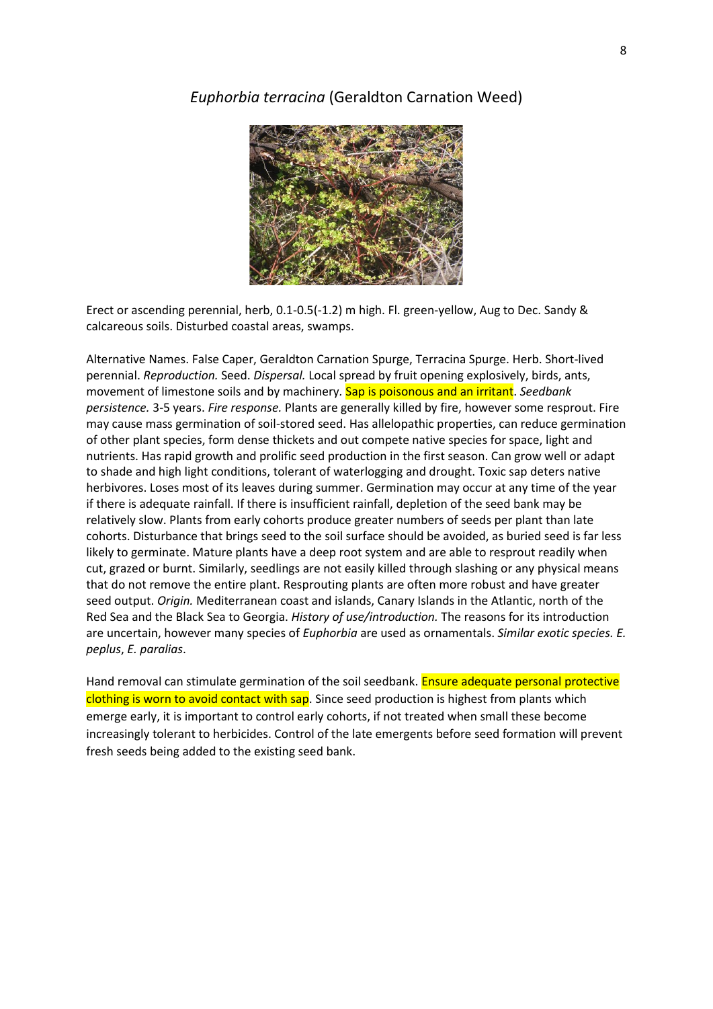## *Euphorbia terracina* (Geraldton Carnation Weed)



Erect or ascending perennial, herb, 0.1-0.5(-1.2) m high. Fl. green-yellow, Aug to Dec. Sandy & calcareous soils. Disturbed coastal areas, swamps.

Alternative Names. False Caper, Geraldton Carnation Spurge, Terracina Spurge. Herb. Short-lived perennial. *Reproduction.* Seed. *Dispersal.* Local spread by fruit opening explosively, birds, ants, movement of limestone soils and by machinery*.* Sap is poisonous and an irritant. *Seedbank persistence.* 3-5 years. *Fire response.* Plants are generally killed by fire, however some resprout. Fire may cause mass germination of soil-stored seed. Has allelopathic properties, can reduce germination of other plant species, form dense thickets and out compete native species for space, light and nutrients. Has rapid growth and prolific seed production in the first season. Can grow well or adapt to shade and high light conditions, tolerant of waterlogging and drought. Toxic sap deters native herbivores. Loses most of its leaves during summer. Germination may occur at any time of the year if there is adequate rainfall. If there is insufficient rainfall, depletion of the seed bank may be relatively slow. Plants from early cohorts produce greater numbers of seeds per plant than late cohorts. Disturbance that brings seed to the soil surface should be avoided, as buried seed is far less likely to germinate. Mature plants have a deep root system and are able to resprout readily when cut, grazed or burnt. Similarly, seedlings are not easily killed through slashing or any physical means that do not remove the entire plant. Resprouting plants are often more robust and have greater seed output. *Origin.* Mediterranean coast and islands, Canary Islands in the Atlantic, north of the Red Sea and the Black Sea to Georgia. *History of use/introduction.* The reasons for its introduction are uncertain, however many species of *Euphorbia* are used as ornamentals. *Similar exotic species. E. peplus*, *E. paralias*.

Hand removal can stimulate germination of the soil seedbank. **Ensure adequate personal protective** clothing is worn to avoid contact with sap. Since seed production is highest from plants which emerge early, it is important to control early cohorts, if not treated when small these become increasingly tolerant to herbicides. Control of the late emergents before seed formation will prevent fresh seeds being added to the existing seed bank.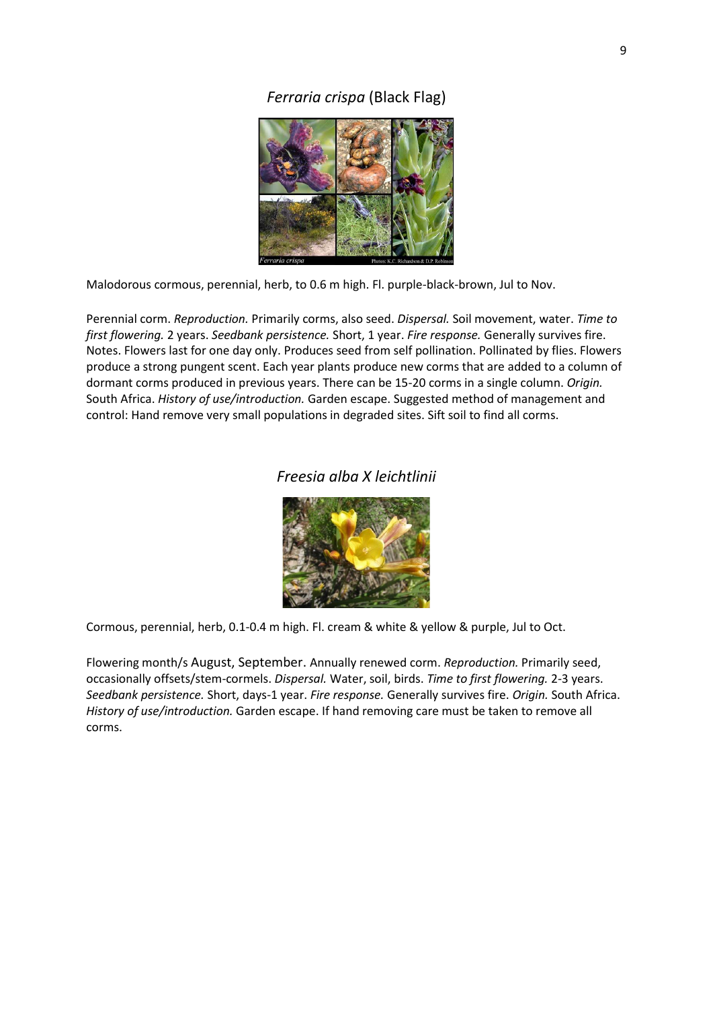## *Ferraria crispa* (Black Flag)



Malodorous cormous, perennial, herb, to 0.6 m high. Fl. purple-black-brown, Jul to Nov.

Perennial corm. *Reproduction.* Primarily corms, also seed. *Dispersal.* Soil movement, water. *Time to first flowering.* 2 years. *Seedbank persistence.* Short, 1 year. *Fire response.* Generally survives fire. Notes. Flowers last for one day only. Produces seed from self pollination. Pollinated by flies. Flowers produce a strong pungent scent. Each year plants produce new corms that are added to a column of dormant corms produced in previous years. There can be 15-20 corms in a single column. *Origin.*  South Africa. *History of use/introduction.* Garden escape. Suggested method of management and control: Hand remove very small populations in degraded sites. Sift soil to find all corms.

## *Freesia alba X leichtlinii*



Cormous, perennial, herb, 0.1-0.4 m high. Fl. cream & white & yellow & purple, Jul to Oct.

Flowering month/s August, September. Annually renewed corm. *Reproduction.* Primarily seed, occasionally offsets/stem-cormels. *Dispersal.* Water, soil, birds. *Time to first flowering.* 2-3 years. *Seedbank persistence.* Short, days-1 year. *Fire response.* Generally survives fire. *Origin.* South Africa. *History of use/introduction.* Garden escape. If hand removing care must be taken to remove all corms.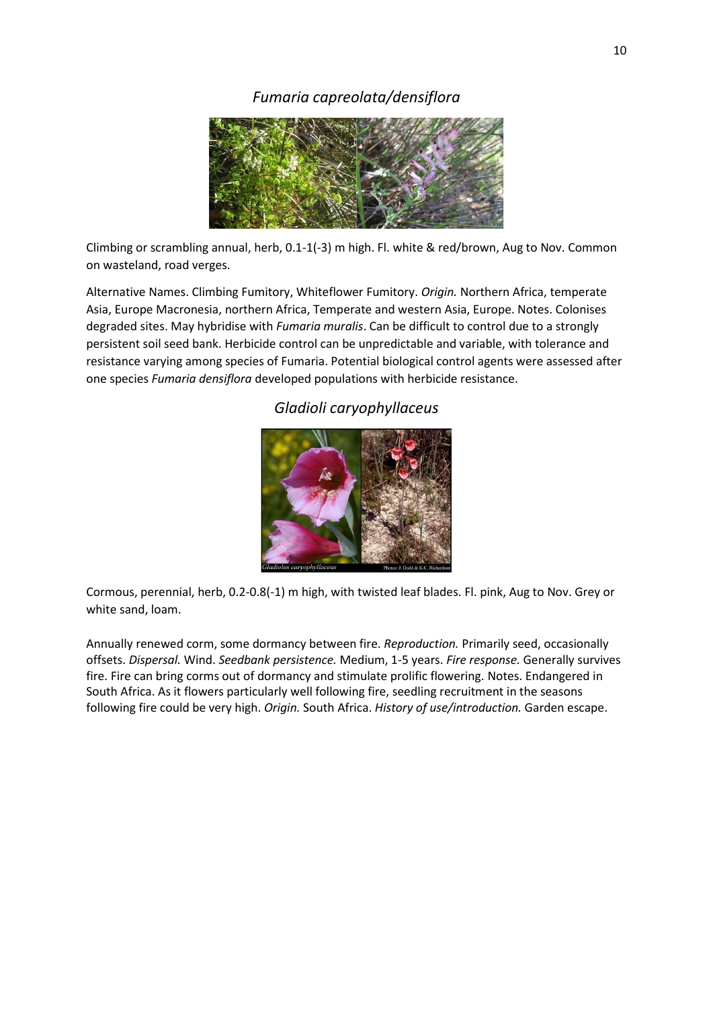## *Fumaria capreolata/densiflora*



Climbing or scrambling annual, herb, 0.1-1(-3) m high. Fl. white & red/brown, Aug to Nov. Common on wasteland, road verges.

Alternative Names. Climbing Fumitory, Whiteflower Fumitory. *Origin.* Northern Africa, temperate Asia, Europe Macronesia, northern Africa, Temperate and western Asia, Europe. Notes. Colonises degraded sites. May hybridise with *Fumaria muralis*. Can be difficult to control due to a strongly persistent soil seed bank. Herbicide control can be unpredictable and variable, with tolerance and resistance varying among species of Fumaria. Potential biological control agents were assessed after one species *Fumaria densiflora* developed populations with herbicide resistance.

## *Gladioli caryophyllaceus*



Cormous, perennial, herb, 0.2-0.8(-1) m high, with twisted leaf blades. Fl. pink, Aug to Nov. Grey or white sand, loam.

Annually renewed corm, some dormancy between fire. *Reproduction.* Primarily seed, occasionally offsets. *Dispersal.* Wind. *Seedbank persistence.* Medium, 1-5 years. *Fire response.* Generally survives fire. Fire can bring corms out of dormancy and stimulate prolific flowering. Notes. Endangered in South Africa. As it flowers particularly well following fire, seedling recruitment in the seasons following fire could be very high. *Origin.* South Africa. *History of use/introduction.* Garden escape.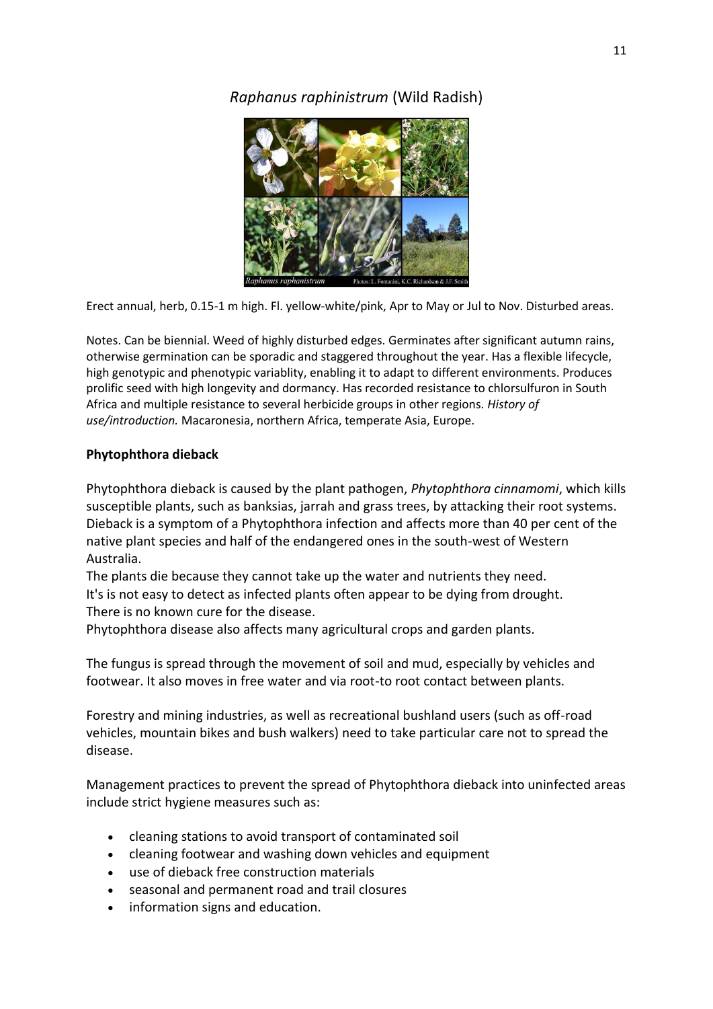## *Raphanus raphinistrum* (Wild Radish)



Erect annual, herb, 0.15-1 m high. Fl. yellow-white/pink, Apr to May or Jul to Nov. Disturbed areas.

Notes. Can be biennial. Weed of highly disturbed edges. Germinates after significant autumn rains, otherwise germination can be sporadic and staggered throughout the year. Has a flexible lifecycle, high genotypic and phenotypic variablity, enabling it to adapt to different environments. Produces prolific seed with high longevity and dormancy. Has recorded resistance to chlorsulfuron in South Africa and multiple resistance to several herbicide groups in other regions. *History of use/introduction.* Macaronesia, northern Africa, temperate Asia, Europe.

## **Phytophthora dieback**

Phytophthora dieback is caused by the plant pathogen, *Phytophthora cinnamomi*, which kills susceptible plants, such as banksias, jarrah and grass trees, by attacking their root systems. Dieback is a symptom of a Phytophthora infection and affects more than 40 per cent of the native plant species and half of the endangered ones in the south-west of Western Australia.

The plants die because they cannot take up the water and nutrients they need. It's is not easy to detect as infected plants often appear to be dying from drought. There is no known cure for the disease.

Phytophthora disease also affects many agricultural crops and garden plants.

The fungus is spread through the movement of soil and mud, especially by vehicles and footwear. It also moves in free water and via root-to root contact between plants.

Forestry and mining industries, as well as recreational bushland users (such as off-road vehicles, mountain bikes and bush walkers) need to take particular care not to spread the disease.

Management practices to prevent the spread of Phytophthora dieback into uninfected areas include strict hygiene measures such as:

- cleaning stations to avoid transport of contaminated soil
- cleaning footwear and washing down vehicles and equipment
- use of dieback free construction materials
- seasonal and permanent road and trail closures
- information signs and education.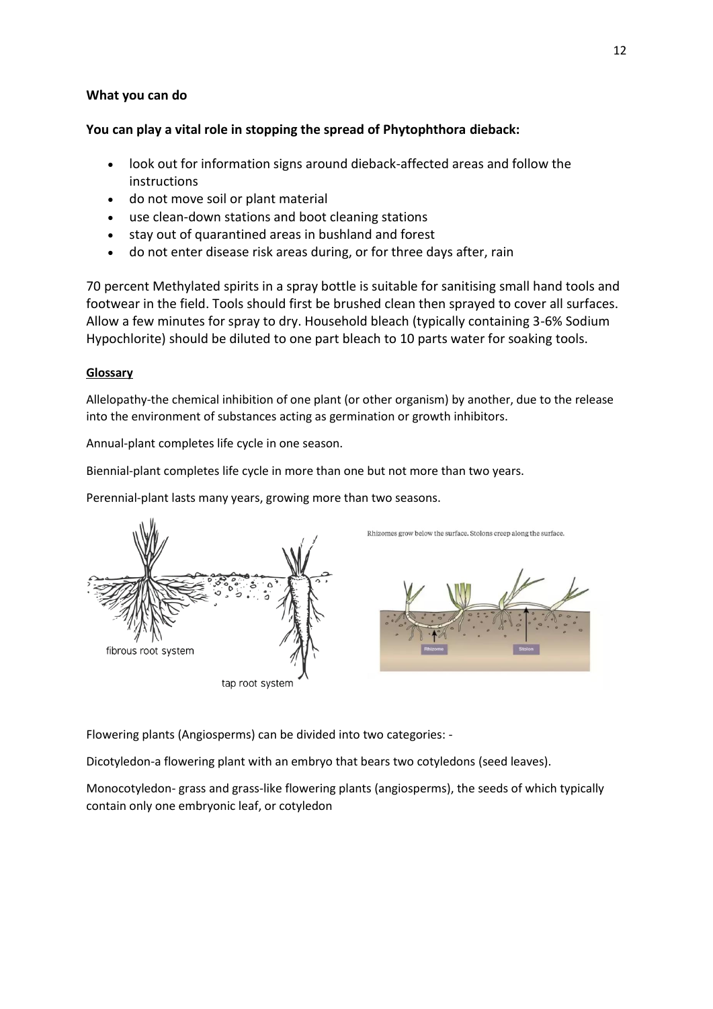#### **What you can do**

## **You can play a vital role in stopping the spread of Phytophthora dieback:**

- look out for information signs around dieback-affected areas and follow the instructions
- do not move soil or plant material
- use clean-down stations and boot cleaning stations
- stay out of quarantined areas in bushland and forest
- do not enter disease risk areas during, or for three days after, rain

70 percent Methylated spirits in a spray bottle is suitable for sanitising small hand tools and footwear in the field. Tools should first be brushed clean then sprayed to cover all surfaces. Allow a few minutes for spray to dry. Household bleach (typically containing 3-6% Sodium Hypochlorite) should be diluted to one part bleach to 10 parts water for soaking tools.

#### **Glossary**

Allelopathy-the chemical inhibition of one plant (or other organism) by another, due to the release into the environment of substances acting as germination or growth inhibitors.

Annual-plant completes life cycle in one season.

Biennial-plant completes life cycle in more than one but not more than two years.

Perennial-plant lasts many years, growing more than two seasons.



tap root system





Flowering plants (Angiosperms) can be divided into two categories: -

Dicotyledon-a flowering plant with an embryo that bears two cotyledons (seed leaves).

Monocotyledon- grass and grass-like flowering plants (angiosperms), the seeds of which typically contain only one embryonic leaf, or cotyledon